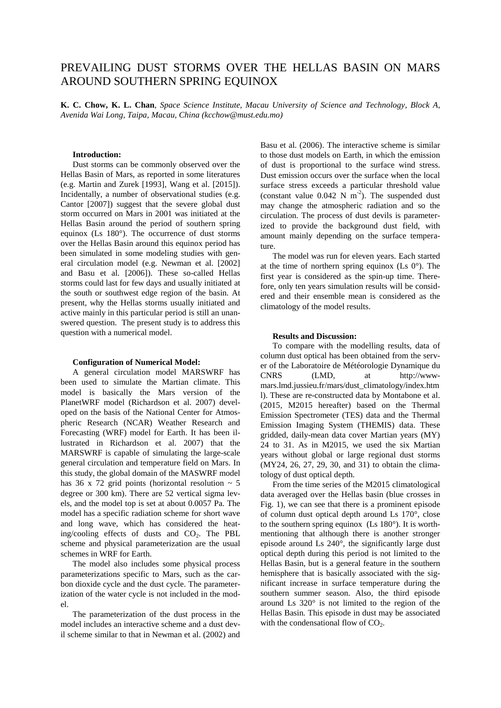# PREVAILING DUST STORMS OVER THE HELLAS BASIN ON MARS AROUND SOUTHERN SPRING EQUINOX

**K. C. Chow, K. L. Chan**, *Space Science Institute, Macau University of Science and Technology, Block A, Avenida Wai Long, Taipa, Macau, China (kcchow@must.edu.mo)*

## **Introduction:**

Dust storms can be commonly observed over the Hellas Basin of Mars, as reported in some literatures (e.g. Martin and Zurek [1993], Wang et al. [2015]). Incidentally, a number of observational studies (e.g. Cantor [2007]) suggest that the severe global dust storm occurred on Mars in 2001 was initiated at the Hellas Basin around the period of southern spring equinox (Ls 180°). The occurrence of dust storms over the Hellas Basin around this equinox period has been simulated in some modeling studies with general circulation model (e.g. Newman et al. [2002] and Basu et al. [2006]). These so-called Hellas storms could last for few days and usually initiated at the south or southwest edge region of the basin. At present, why the Hellas storms usually initiated and active mainly in this particular period is still an unanswered question. The present study is to address this question with a numerical model.

#### **Configuration of Numerical Model:**

A general circulation model MARSWRF has been used to simulate the Martian climate. This model is basically the Mars version of the PlanetWRF model (Richardson et al. 2007) developed on the basis of the National Center for Atmospheric Research (NCAR) Weather Research and Forecasting (WRF) model for Earth. It has been illustrated in Richardson et al. 2007) that the MARSWRF is capable of simulating the large-scale general circulation and temperature field on Mars. In this study, the global domain of the MASWRF model has 36 x 72 grid points (horizontal resolution  $\sim$  5 degree or 300 km). There are 52 vertical sigma levels, and the model top is set at about 0.0057 Pa. The model has a specific radiation scheme for short wave and long wave, which has considered the heating/cooling effects of dusts and  $CO<sub>2</sub>$ . The PBL scheme and physical parameterization are the usual schemes in WRF for Earth.

The model also includes some physical process parameterizations specific to Mars, such as the carbon dioxide cycle and the dust cycle. The parameterization of the water cycle is not included in the model.

The parameterization of the dust process in the model includes an interactive scheme and a dust devil scheme similar to that in Newman et al. (2002) and

Basu et al. (2006). The interactive scheme is similar to those dust models on Earth, in which the emission of dust is proportional to the surface wind stress. Dust emission occurs over the surface when the local surface stress exceeds a particular threshold value (constant value  $0.042 \text{ N m}^{-2}$ ). The suspended dust may change the atmospheric radiation and so the circulation. The process of dust devils is parameterized to provide the background dust field, with amount mainly depending on the surface temperature.

The model was run for eleven years. Each started at the time of northern spring equinox (Ls  $0^{\circ}$ ). The first year is considered as the spin-up time. Therefore, only ten years simulation results will be considered and their ensemble mean is considered as the climatology of the model results.

#### **Results and Discussion:**

To compare with the modelling results, data of column dust optical has been obtained from the server of the Laboratoire de Météorologie Dynamique du CNRS (LMD, at http://wwwmars.lmd.jussieu.fr/mars/dust\_climatology/index.htm l). These are re-constructed data by Montabone et al. (2015, M2015 hereafter) based on the Thermal Emission Spectrometer (TES) data and the Thermal Emission Imaging System (THEMIS) data. These gridded, daily-mean data cover Martian years (MY) 24 to 31. As in M2015, we used the six Martian years without global or large regional dust storms (MY24, 26, 27, 29, 30, and 31) to obtain the climatology of dust optical depth.

From the time series of the M2015 climatological data averaged over the Hellas basin (blue crosses in Fig. 1), we can see that there is a prominent episode of column dust optical depth around Ls 170°, close to the southern spring equinox (Ls 180°). It is worthmentioning that although there is another stronger episode around Ls 240°, the significantly large dust optical depth during this period is not limited to the Hellas Basin, but is a general feature in the southern hemisphere that is basically associated with the significant increase in surface temperature during the southern summer season. Also, the third episode around Ls 320° is not limited to the region of the Hellas Basin. This episode in dust may be associated with the condensational flow of  $CO<sub>2</sub>$ .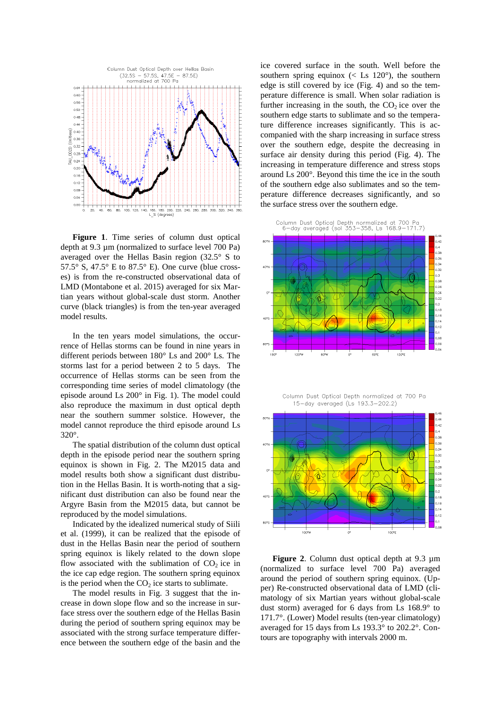

**Figure 1**. Time series of column dust optical depth at 9.3 µm (normalized to surface level 700 Pa) averaged over the Hellas Basin region (32.5° S to 57.5° S, 47.5° E to 87.5° E). One curve (blue crosses) is from the re-constructed observational data of LMD (Montabone et al. 2015) averaged for six Martian years without global-scale dust storm. Another curve (black triangles) is from the ten-year averaged model results.

In the ten years model simulations, the occurrence of Hellas storms can be found in nine years in different periods between 180° Ls and 200° Ls. The storms last for a period between 2 to 5 days. The occurrence of Hellas storms can be seen from the corresponding time series of model climatology (the episode around Ls 200° in Fig. 1). The model could also reproduce the maximum in dust optical depth near the southern summer solstice. However, the model cannot reproduce the third episode around Ls 320°.

The spatial distribution of the column dust optical depth in the episode period near the southern spring equinox is shown in Fig. 2. The M2015 data and model results both show a significant dust distribution in the Hellas Basin. It is worth-noting that a significant dust distribution can also be found near the Argyre Basin from the M2015 data, but cannot be reproduced by the model simulations.

Indicated by the idealized numerical study of Siili et al. (1999), it can be realized that the episode of dust in the Hellas Basin near the period of southern spring equinox is likely related to the down slope flow associated with the sublimation of  $CO<sub>2</sub>$  ice in the ice cap edge region. The southern spring equinox is the period when the  $CO<sub>2</sub>$  ice starts to sublimate.

The model results in Fig. 3 suggest that the increase in down slope flow and so the increase in surface stress over the southern edge of the Hellas Basin during the period of southern spring equinox may be associated with the strong surface temperature difference between the southern edge of the basin and the

ice covered surface in the south. Well before the southern spring equinox ( $\lt$  Ls 120 $\degree$ ), the southern edge is still covered by ice (Fig. 4) and so the temperature difference is small. When solar radiation is further increasing in the south, the  $CO<sub>2</sub>$  ice over the southern edge starts to sublimate and so the temperature difference increases significantly. This is accompanied with the sharp increasing in surface stress over the southern edge, despite the decreasing in surface air density during this period (Fig. 4). The increasing in temperature difference and stress stops around Ls 200°. Beyond this time the ice in the south of the southern edge also sublimates and so the temperature difference decreases significantly, and so the surface stress over the southern edge.





Column Dust Optical Depth normalized at 700 Pa 15-day averaged (Ls 193.3-202.2)



**Figure 2**. Column dust optical depth at 9.3 µm (normalized to surface level 700 Pa) averaged around the period of southern spring equinox. (Upper) Re-constructed observational data of LMD (climatology of six Martian years without global-scale dust storm) averaged for 6 days from Ls 168.9° to 171.7°. (Lower) Model results (ten-year climatology) averaged for 15 days from Ls 193.3° to 202.2°. Contours are topography with intervals 2000 m.